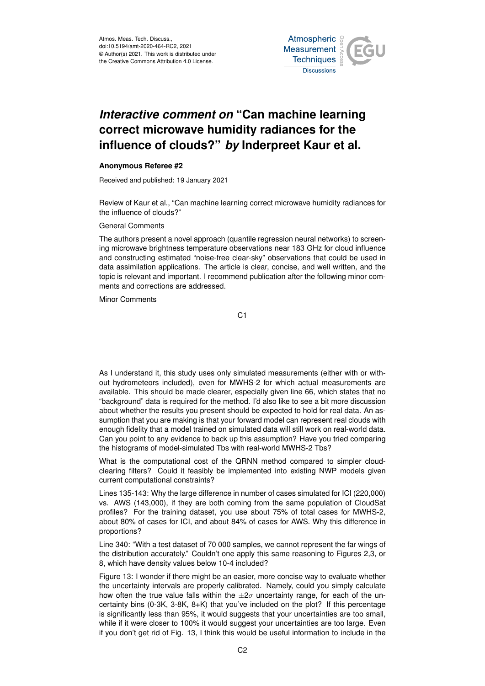

## *Interactive comment on* **"Can machine learning correct microwave humidity radiances for the influence of clouds?"** *by* **Inderpreet Kaur et al.**

## **Anonymous Referee #2**

Received and published: 19 January 2021

Review of Kaur et al., "Can machine learning correct microwave humidity radiances for the influence of clouds?"

General Comments

The authors present a novel approach (quantile regression neural networks) to screening microwave brightness temperature observations near 183 GHz for cloud influence and constructing estimated "noise-free clear-sky" observations that could be used in data assimilation applications. The article is clear, concise, and well written, and the topic is relevant and important. I recommend publication after the following minor comments and corrections are addressed.

Minor Comments

C1

As I understand it, this study uses only simulated measurements (either with or without hydrometeors included), even for MWHS-2 for which actual measurements are available. This should be made clearer, especially given line 66, which states that no "background" data is required for the method. I'd also like to see a bit more discussion about whether the results you present should be expected to hold for real data. An assumption that you are making is that your forward model can represent real clouds with enough fidelity that a model trained on simulated data will still work on real-world data. Can you point to any evidence to back up this assumption? Have you tried comparing the histograms of model-simulated Tbs with real-world MWHS-2 Tbs?

What is the computational cost of the QRNN method compared to simpler cloudclearing filters? Could it feasibly be implemented into existing NWP models given current computational constraints?

Lines 135-143: Why the large difference in number of cases simulated for ICI (220,000) vs. AWS (143,000), if they are both coming from the same population of CloudSat profiles? For the training dataset, you use about 75% of total cases for MWHS-2, about 80% of cases for ICI, and about 84% of cases for AWS. Why this difference in proportions?

Line 340: "With a test dataset of 70 000 samples, we cannot represent the far wings of the distribution accurately." Couldn't one apply this same reasoning to Figures 2,3, or 8, which have density values below 10-4 included?

Figure 13: I wonder if there might be an easier, more concise way to evaluate whether the uncertainty intervals are properly calibrated. Namely, could you simply calculate how often the true value falls within the  $\pm 2\sigma$  uncertainty range, for each of the uncertainty bins (0-3K, 3-8K, 8+K) that you've included on the plot? If this percentage is significantly less than 95%, it would suggests that your uncertainties are too small, while if it were closer to 100% it would suggest your uncertainties are too large. Even if you don't get rid of Fig. 13, I think this would be useful information to include in the